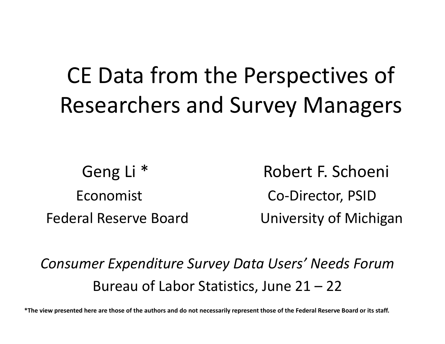# CE Data from the Perspectives of Researchers and Survey Managers

Geng Li<sup>\*</sup> Robert F. Schoeni Economistt Co-Director, PSID Federal Reserve BoardUniversity of Michigan

*Consumer Expenditure Survey Data Users' Needs Forum* Bureau of Labor Statistics, June 21 – 22

\*The view presented here are those of the authors and do not necessarily represent those of the Federal Reserve Board or its staff.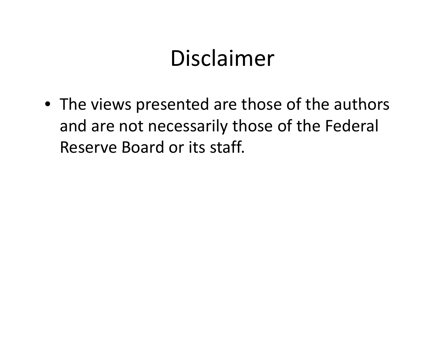#### Disclaimer

• The views presented are those of the authors and are not necessarily those of the Federal Reserve Board or its staff.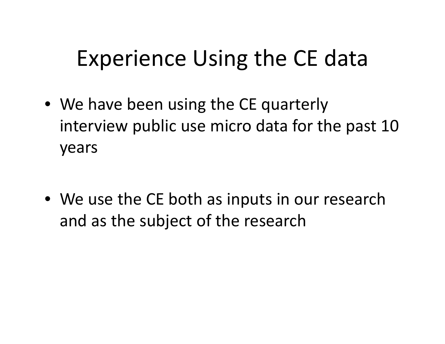## Experience Using the CE data

- We have been using the CE quarterly interview public use micro data for the past 10 years
- We use the CE both as inputs in our research and as the subject of the research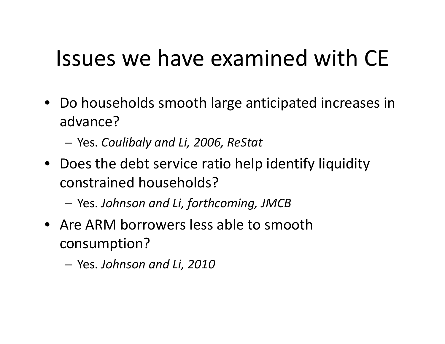## Issues we have examined with CE

- Do households smooth large anticipated increases in advance?
	- Yes. *Coulibaly and Li, 2006, ReStat*
- Does the debt service ratio help identify liquidity constrained households?

Yes. *Johnson and Li, forthcoming, JMCB*

- Are ARM borrowers less able to smooth consumption?
	- –Yes. *Johnson and Li, 2010*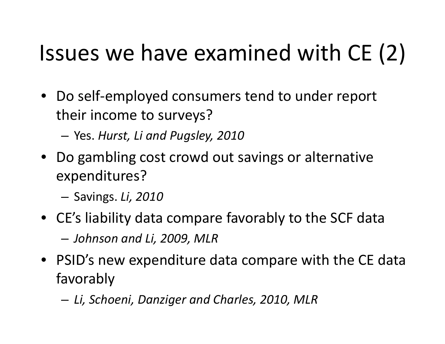Issues we have examined with CE (2)<br>• Do self-employed consumers tend to under report<br>their income to survevs? • Do self‐employed consumers tend to under report income to surveys?

Yes. *Hurst, Li and Pugsley, 2010*

• Do gambling cost crowd out savings or alternative expenditures?

S i av ngs. *Li, 2010*

- CE's liability data compare favorably to the SCF data –*Johnson and Li, 2009, MLR*
- PSID's new expenditure data compare with the CE data favorably

*Li, Schoeni, Danziger and Charles, 2010, MLR*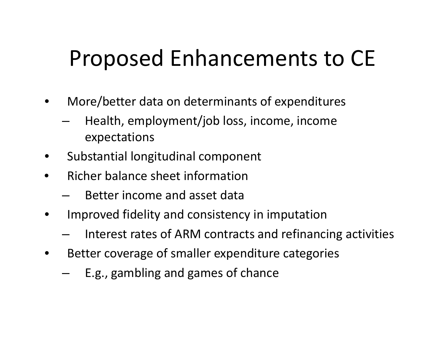# Proposed Enhancements to CE

- • More/better data on determinants of expenditures
	- Health, employment/job loss, income, income expectations
- •Substantial longitudinal component
- •**•** Richer balance sheet information
	- –Better income and asset data
- • Improved fidelity and consistency in imputation
	- $-$  Interest rates of ARM contracts and refinancing activities
- • Better coverage of smaller expenditure categories
	- E.g., gambling and games of chance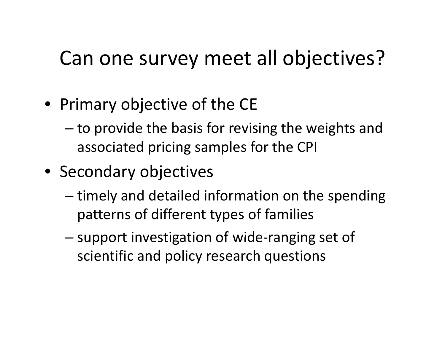#### Can one survey meet all objectives?

- Primary objective of the CE
	- – $-$  to provide the basis for revising the weights and associated pricing samples for the CPI
- Secondary objectives
	- – $-$  timely and detailed information on the spending patterns of different types of families
	- – support investigation of wide‐ranging set of scientific and policy research questions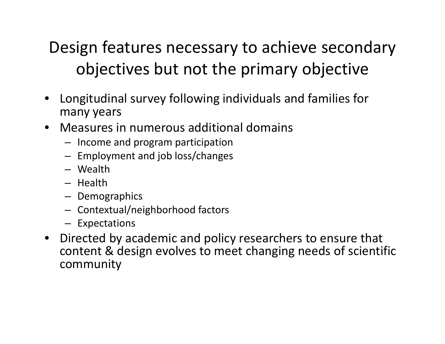#### Design features necessary to achieve secondary objectives but not the primary objective

- Longitudinal survey following individuals and families for many years
- Measures in numerous additional domains
	- Income and program participation
	- $-$  Employment and job loss/changes
	- Wealth
	- Health
	- Demographics
	- $-$  Contextual/neighborhood factors
	- Expectations
- Directed by academic and policy researchers to ensure that content & design evolves to meet changing needs of scientific community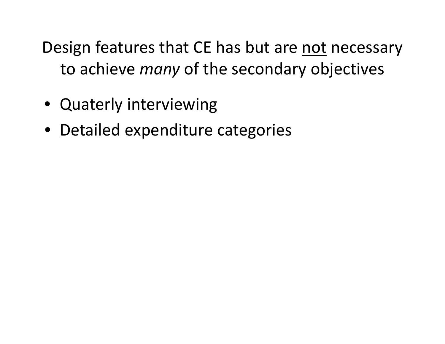Design features that CE has but are not necessary to achieve *many* of the secondary objectives

- Quaterly interviewing
- Detailed expenditure categories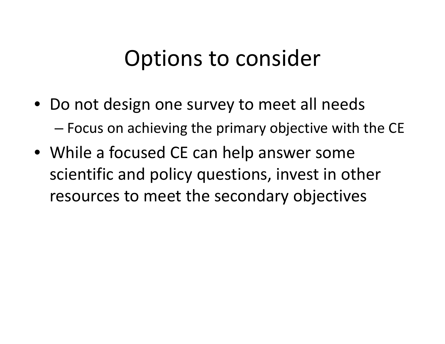#### Options to consider

- Do not design one survey to meet all needs –Focus on achieving the primary objective with the CE
- While <sup>a</sup> focused CE can help answer some scientific and policy questions, invest in other resources to meet the secondary objectives